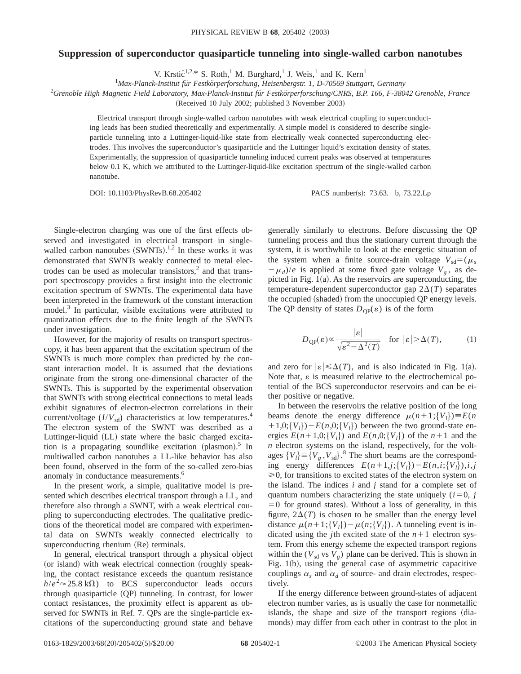## **Suppression of superconductor quasiparticle tunneling into single-walled carbon nanotubes**

V. Krsti $\zeta^{1,2,*}$  S. Roth,<sup>1</sup> M. Burghard,<sup>1</sup> J. Weis,<sup>1</sup> and K. Kern<sup>1</sup>

<sup>1</sup>Max-Planck-Institut für Festkörperforschung, Heisenbergstr. 1, D-70569 Stuttgart, Germany

<sup>2</sup>Grenoble High Magnetic Field Laboratory, Max-Planck-Institut für Festkörperforschung/CNRS, B.P. 166, F-38042 Grenoble, France

(Received 10 July 2002; published 3 November 2003)

Electrical transport through single-walled carbon nanotubes with weak electrical coupling to superconducting leads has been studied theoretically and experimentally. A simple model is considered to describe singleparticle tunneling into a Luttinger-liquid-like state from electrically weak connected superconducting electrodes. This involves the superconductor's quasiparticle and the Luttinger liquid's excitation density of states. Experimentally, the suppression of quasiparticle tunneling induced current peaks was observed at temperatures below 0.1 K, which we attributed to the Luttinger-liquid-like excitation spectrum of the single-walled carbon nanotube.

DOI: 10.1103/PhysRevB.68.205402 PACS number(s): 73.63. - b, 73.22.Lp

Single-electron charging was one of the first effects observed and investigated in electrical transport in singlewalled carbon nanotubes  $(SWNTs).<sup>1,2</sup>$  In these works it was demonstrated that SWNTs weakly connected to metal electrodes can be used as molecular transistors, $<sup>2</sup>$  and that trans-</sup> port spectroscopy provides a first insight into the electronic excitation spectrum of SWNTs. The experimental data have been interpreted in the framework of the constant interaction model.<sup>3</sup> In particular, visible excitations were attributed to quantization effects due to the finite length of the SWNTs under investigation.

However, for the majority of results on transport spectroscopy, it has been apparent that the excitation spectrum of the SWNTs is much more complex than predicted by the constant interaction model. It is assumed that the deviations originate from the strong one-dimensional character of the SWNTs. This is supported by the experimental observation that SWNTs with strong electrical connections to metal leads exhibit signatures of electron-electron correlations in their current/voltage  $(I/V_{sd})$  characteristics at low temperatures.<sup>4</sup> The electron system of the SWNT was described as a Luttinger-liquid (LL) state where the basic charged excitation is a propagating soundlike excitation (plasmon).<sup>5</sup> In multiwalled carbon nanotubes a LL-like behavior has also been found, observed in the form of the so-called zero-bias anomaly in conductance measurements.<sup>6</sup>

In the present work, a simple, qualitative model is presented which describes electrical transport through a LL, and therefore also through a SWNT, with a weak electrical coupling to superconducting electrodes. The qualitative predictions of the theoretical model are compared with experimental data on SWNTs weakly connected electrically to superconducting rhenium (Re) terminals.

In general, electrical transport through a physical object (or island) with weak electrical connection (roughly speaking, the contact resistance exceeds the quantum resistance  $h/e^2 \approx 25.8 \text{ k}\Omega$ ) to BCS superconductor leads occurs through quasiparticle (QP) tunneling. In contrast, for lower contact resistances, the proximity effect is apparent as observed for SWNTs in Ref. 7. QPs are the single-particle excitations of the superconducting ground state and behave generally similarly to electrons. Before discussing the QP tunneling process and thus the stationary current through the system, it is worthwhile to look at the energetic situation of the system when a finite source-drain voltage  $V_{sd}=(\mu_s)$  $-\mu_d$ )/*e* is applied at some fixed gate voltage  $V_g$ , as depicted in Fig.  $1(a)$ . As the reservoirs are superconducting, the temperature-dependent superconductor gap  $2\Delta(T)$  separates the occupied (shaded) from the unoccupied QP energy levels. The QP density of states  $D_{OP}(\varepsilon)$  is of the form

$$
D_{\mathbf{QP}}(\varepsilon) \propto \frac{|\varepsilon|}{\sqrt{\varepsilon^2 - \Delta^2(T)}} \quad \text{for } |\varepsilon| > \Delta(T), \tag{1}
$$

and zero for  $|\varepsilon| \leq \Delta(T)$ , and is also indicated in Fig. 1(a). Note that,  $\varepsilon$  is measured relative to the electrochemical potential of the BCS superconductor reservoirs and can be either positive or negative.

In between the reservoirs the relative position of the long beams denote the energy difference  $\mu(n+1;\{V_l\})\equiv E(n)$  $+1,0;\{V_l\}$  –  $E(n,0;\{V_l\})$  between the two ground-state energies  $E(n+1,0;\{V_l\})$  and  $E(n,0;\{V_l\})$  of the  $n+1$  and the *n* electron systems on the island, respectively, for the voltages  $\{V_l\} \equiv \{V_g, V_{sd}\}$ .<sup>8</sup> The short beams are the corresponding energy differences  $E(n+1,j;\{V_l\})-E(n,i;\{V_l\}),i,j$  $\geq 0$ , for transitions to excited states of the electron system on the island. The indices *i* and *j* stand for a complete set of quantum numbers characterizing the state uniquely  $(i=0, j)$  $=0$  for ground states). Without a loss of generality, in this figure,  $2\Delta(T)$  is chosen to be smaller than the energy level distance  $\mu(n+1;\{V_l\})-\mu(n;\{V_l\})$ . A tunneling event is indicated using the *j*th excited state of the  $n+1$  electron system. From this energy scheme the expected transport regions within the  $(V_{sd}$  vs  $V_g)$  plane can be derived. This is shown in Fig.  $1(b)$ , using the general case of asymmetric capacitive couplings  $\alpha_s$  and  $\alpha_d$  of source- and drain electrodes, respectively.

If the energy difference between ground-states of adjacent electron number varies, as is usually the case for nonmetallic islands, the shape and size of the transport regions (diamonds) may differ from each other in contrast to the plot in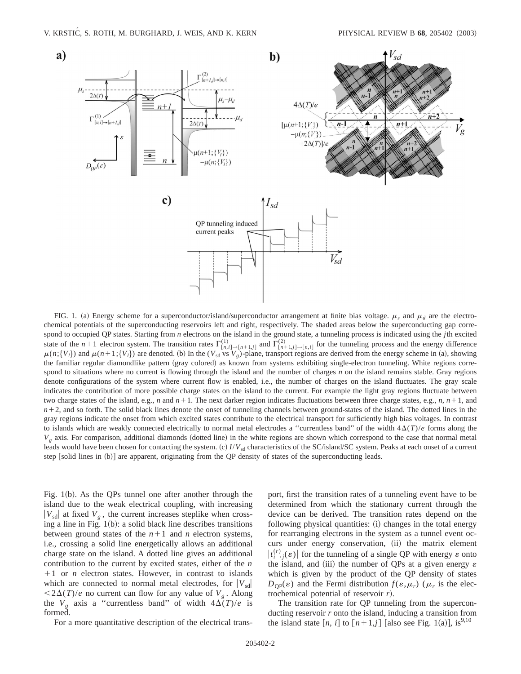

FIG. 1. (a) Energy scheme for a superconductor/island/superconductor arrangement at finite bias voltage.  $\mu_s$  and  $\mu_d$  are the electrochemical potentials of the superconducting reservoirs left and right, respectively. The shaded areas below the superconducting gap correspond to occupied QP states. Starting from *n* electrons on the island in the ground state, a tunneling process is indicated using the *j*th excited state of the  $n+1$  electron system. The transition rates  $\Gamma^{(1)}_{[n,i]\to[n+1,j]}$  and  $\Gamma^{(2)}_{[n+1,j]\to[n,i]}$  for the tunneling process and the energy difference  $\mu(n;\{V_l\})$  and  $\mu(n+1;\{V_l\})$  are denoted. (b) In the ( $V_{sd}$  vs  $V_g$ )-plane, transport regions are derived from the energy scheme in (a), showing the familiar regular diamondlike pattern (gray colored) as known from systems exhibiting single-electron tunneling. White regions correspond to situations where no current is flowing through the island and the number of charges *n* on the island remains stable. Gray regions denote configurations of the system where current flow is enabled, i.e., the number of charges on the island fluctuates. The gray scale indicates the contribution of more possible charge states on the island to the current. For example the light gray regions fluctuate between two charge states of the island, e.g., *n* and  $n+1$ . The next darker region indicates fluctuations between three charge states, e.g., *n*,  $n+1$ , and  $n+2$ , and so forth. The solid black lines denote the onset of tunneling channels between ground-states of the island. The dotted lines in the gray regions indicate the onset from which excited states contribute to the electrical transport for sufficiently high bias voltages. In contrast to islands which are weakly connected electrically to normal metal electrodes a "currentless band" of the width  $4\Delta(T)/e$  forms along the  $V_g$  axis. For comparison, additional diamonds (dotted line) in the white regions are shown which correspond to the case that normal metal leads would have been chosen for contacting the system. (c)  $I/V_{sd}$  characteristics of the SC/island/SC system. Peaks at each onset of a current step [solid lines in (b)] are apparent, originating from the QP density of states of the superconducting leads.

Fig.  $1(b)$ . As the QPs tunnel one after another through the island due to the weak electrical coupling, with increasing  $|V_{sd}|$  at fixed  $V_g$ , the current increases steplike when crossing a line in Fig.  $1(b)$ : a solid black line describes transitions between ground states of the  $n+1$  and  $n$  electron systems, i.e., crossing a solid line energetically allows an additional charge state on the island. A dotted line gives an additional contribution to the current by excited states, either of the *n*  $+1$  or *n* electron states. However, in contrast to islands which are connected to normal metal electrodes, for  $|V_{sd}|$  $\langle 2\Delta(T)/e$  no current can flow for any value of  $V_g$ . Along the  $V_g$  axis a "currentless band" of width  $4\Delta(T)/e$  is formed.

For a more quantitative description of the electrical trans-

port, first the transition rates of a tunneling event have to be determined from which the stationary current through the device can be derived. The transition rates depend on the following physical quantities: (i) changes in the total energy for rearranging electrons in the system as a tunnel event occurs under energy conservation, (ii) the matrix element  $|t_{i\rightarrow j}^{(r)}(\varepsilon)|$  for the tunneling of a single QP with energy  $\varepsilon$  onto the island, and (iii) the number of QPs at a given energy  $\varepsilon$ which is given by the product of the QP density of states  $D_{\text{OP}}(\varepsilon)$  and the Fermi distribution  $f(\varepsilon,\mu_r)$  ( $\mu_r$  is the electrochemical potential of reservoir *r*!.

The transition rate for QP tunneling from the superconducting reservoir *r* onto the island, inducing a transition from the island state  $[n, i]$  to  $[n+1, j]$  [also see Fig. 1(a)], is<sup>9,10</sup>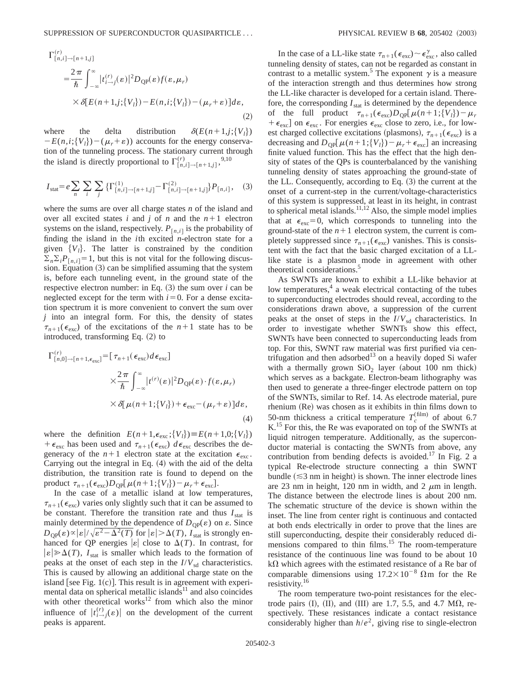$$
\Gamma_{[n,i]\to[n+1,j]}^{(r)}
$$
\n
$$
= \frac{2\pi}{\hbar} \int_{-\infty}^{\infty} |t_{i\to j}^{(r)}(\varepsilon)|^2 D_{\text{QP}}(\varepsilon) f(\varepsilon, \mu_r)
$$
\n
$$
\times \delta[E(n+1,j;\{V_l\}) - E(n,i;\{V_l\}) - (\mu_r + \varepsilon)]d\varepsilon,
$$
\n(2)

where the delta distribution  $\delta(E(n+1,j;\{V_i\}))$  $-E(n,i;\{V_i\}) - (\mu_r + \varepsilon)$  accounts for the energy conservation of the tunneling process. The stationary current through the island is directly proportional to  $\Gamma^{(r)}_{[n,i]\to[n+1,j]}$ ,<sup>9,10</sup>

$$
I_{\text{stat}} = e \sum_{n} \sum_{i} \sum_{j} \{ \Gamma_{[n,i]\to[n+1,j]}^{(1)} - \Gamma_{[n,i]\to[n+1,j]}^{(2)} \} P_{[n,i]}, \quad (3)
$$

where the sums are over all charge states *n* of the island and over all excited states *i* and *j* of *n* and the  $n+1$  electron systems on the island, respectively.  $P_{[n,i]}$  is the probability of finding the island in the *i*th excited *n*-electron state for a given  ${V<sub>l</sub>}$ . The latter is constrained by the condition  $\sum_{n} \sum_{i} P_{[n,i]} = 1$ , but this is not vital for the following discussion. Equation  $(3)$  can be simplified assuming that the system is, before each tunneling event, in the ground state of the respective electron number: in Eq.  $(3)$  the sum over *i* can be neglected except for the term with  $i=0$ . For a dense excitation spectrum it is more convenient to convert the sum over *j* into an integral form. For this, the density of states  $\tau_{n+1}(\epsilon_{\text{exc}})$  of the excitations of the  $n+1$  state has to be introduced, transforming Eq.  $(2)$  to

$$
\Gamma_{[n,0]\to[n+1,\epsilon_{\text{exc}}]}^{(r)} = [\tau_{n+1}(\epsilon_{\text{exc}})d\epsilon_{\text{exc}}] \times \frac{2\pi}{\hbar} \int_{-\infty}^{\infty} |t^{(r)}(\varepsilon)|^2 D_{\text{QP}}(\varepsilon) \cdot f(\varepsilon,\mu_r) \times \delta[\mu(n+1;\{V_l\}) + \epsilon_{\text{exc}} - (\mu_r + \varepsilon)]d\varepsilon,
$$
\n(4)

where the definition  $E(n+1, \epsilon_{\text{exc}}; \{V_l\}) \equiv E(n+1,0; \{V_l\})$ +  $\epsilon_{\text{exc}}$  has been used and  $\tau_{n+1}(\epsilon_{\text{exc}}) d\epsilon_{\text{exc}}$  describes the degeneracy of the  $n+1$  electron state at the excitation  $\epsilon_{\text{exc}}$ . Carrying out the integral in Eq.  $(4)$  with the aid of the delta distribution, the transition rate is found to depend on the product  $\tau_{n+1}(\epsilon_{\text{exc}})D_{\text{QP}}[\mu(n+1;\{V_l\})-\mu_r+\epsilon_{\text{exc}}].$ 

In the case of a metallic island at low temperatures,  $\tau_{n+1}(\epsilon_{\rm exc})$  varies only slightly such that it can be assumed to be constant. Therefore the transition rate and thus  $I_{\text{stat}}$  is mainly determined by the dependence of  $D_{QP}(\varepsilon)$  on  $\varepsilon$ . Since  $D_{\text{OP}}(\varepsilon) \propto |\varepsilon| / \sqrt{\varepsilon^2 - \Delta^2(T)}$  for  $|\varepsilon| > \Delta(T)$ , *I*<sub>stat</sub> is strongly enhanced for QP energies  $|\varepsilon|$  close to  $\Delta(T)$ . In contrast, for  $|\varepsilon| \geq \Delta(T)$ , *I*<sub>stat</sub> is smaller which leads to the formation of peaks at the onset of each step in the  $I/V_{sd}$  characteristics. This is caused by allowing an additional charge state on the island [see Fig.  $1(c)$ ]. This result is in agreement with experimental data on spherical metallic islands $11$  and also coincides with other theoretical works $12$  from which also the minor influence of  $|t_{i\to j}^{(r)}(\varepsilon)|$  on the development of the current peaks is apparent.

In the case of a LL-like state  $\tau_{n+1}(\epsilon_{\text{exc}}) \sim \epsilon_{\text{exc}}^{\gamma}$ , also called tunneling density of states, can not be regarded as constant in contrast to a metallic system.<sup>5</sup> The exponent  $\gamma$  is a measure of the interaction strength and thus determines how strong the LL-like character is developed for a certain island. Therefore, the corresponding  $I_{stat}$  is determined by the dependence of the full product  $\tau_{n+1}(\epsilon_{\rm exc})D_{\rm OP}[\mu(n+1;\{V_l\})-\mu_r]$  $+ \epsilon_{\rm exc}$ ] on  $\epsilon_{\rm exc}$ . For energies  $\epsilon_{\rm exc}$  close to zero, i.e., for lowest charged collective excitations (plasmons),  $\tau_{n+1}(\epsilon_{\text{exc}})$  is a decreasing and  $D_{\text{OP}}[\mu(n+1;\{V_l\}) - \mu_r + \epsilon_{\text{exc}}]$  an increasing finite valued function. This has the effect that the high density of states of the QPs is counterbalanced by the vanishing tunneling density of states approaching the ground-state of the LL. Consequently, according to Eq.  $(3)$  the current at the onset of a current-step in the current/voltage-characteristics of this system is suppressed, at least in its height, in contrast to spherical metal islands.<sup>11,12</sup> Also, the simple model implies that at  $\epsilon_{\rm exc}=0$ , which corresponds to tunneling into the ground-state of the  $n+1$  electron system, the current is completely suppressed since  $\tau_{n+1}(\epsilon_{\text{exc}})$  vanishes. This is consistent with the fact that the basic charged excitation of a LLlike state is a plasmon mode in agreement with other theoretical considerations.<sup>5</sup>

As SWNTs are known to exhibit a LL-like behavior at low temperatures,<sup>4</sup> a weak electrical contacting of the tubes to superconducting electrodes should reveal, according to the considerations drawn above, a suppression of the current peaks at the onset of steps in the  $I/V_{sd}$  characteristics. In order to investigate whether SWNTs show this effect, SWNTs have been connected to superconducting leads from top. For this, SWNT raw material was first purified via centrifugation and then adsorbed<sup>13</sup> on a heavily doped Si wafer with a thermally grown  $SiO<sub>2</sub>$  layer (about 100 nm thick) which serves as a backgate. Electron-beam lithography was then used to generate a three-finger electrode pattern on top of the SWNTs, similar to Ref. 14. As electrode material, pure rhenium (Re) was chosen as it exhibits in thin films down to 50-nm thickness a critical temperature  $T_c^{\text{(film)}}$  of about 6.7 K.<sup>15</sup> For this, the Re was evaporated on top of the SWNTs at liquid nitrogen temperature. Additionally, as the superconductor material is contacting the SWNTs from above, any contribution from bending defects is avoided.<sup>17</sup> In Fig. 2 a typical Re-electrode structure connecting a thin SWNT bundle  $(\leq 3$  nm in height) is shown. The inner electrode lines are 23 nm in height, 120 nm in width, and 2  $\mu$ m in length. The distance between the electrode lines is about 200 nm. The schematic structure of the device is shown within the inset. The line from center right is continuous and contacted at both ends electrically in order to prove that the lines are still superconducting, despite their considerably reduced dimensions compared to thin films.<sup>15</sup> The room-temperature resistance of the continuous line was found to be about 10  $k\Omega$  which agrees with the estimated resistance of a Re bar of comparable dimensions using  $17.2 \times 10^{-8}$  Qm for the Re resistivity.16

The room temperature two-point resistances for the electrode pairs  $(II)$ ,  $(III)$ , and  $(III)$  are 1.7, 5.5, and 4.7 M $\Omega$ , respectively. These resistances indicate a contact resistance considerably higher than  $h/e^2$ , giving rise to single-electron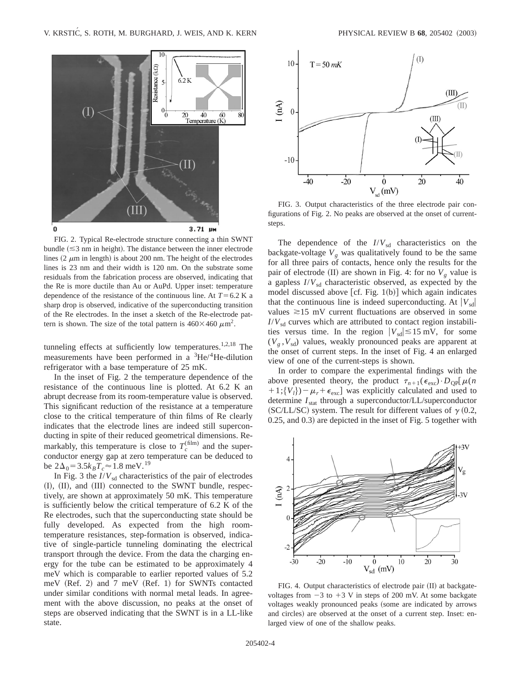

FIG. 2. Typical Re-electrode structure connecting a thin SWNT bundle  $(\leq 3$  nm in height). The distance between the inner electrode lines  $(2 \mu m)$  in length) is about 200 nm. The height of the electrodes lines is 23 nm and their width is 120 nm. On the substrate some residuals from the fabrication process are observed, indicating that the Re is more ductile than Au or AuPd. Upper inset: temperature dependence of the resistance of the continuous line. At  $T=6.2$  K a sharp drop is observed, indicative of the superconducting transition of the Re electrodes. In the inset a sketch of the Re-electrode pattern is shown. The size of the total pattern is  $460\times460 \ \mu \text{m}^2$ .

tunneling effects at sufficiently low temperatures.<sup>1,2,18</sup> The measurements have been performed in a  ${}^{3}$ He/ ${}^{4}$ He-dilution refrigerator with a base temperature of 25 mK.

In the inset of Fig. 2 the temperature dependence of the resistance of the continuous line is plotted. At 6.2 K an abrupt decrease from its room-temperature value is observed. This significant reduction of the resistance at a temperature close to the critical temperature of thin films of Re clearly indicates that the electrode lines are indeed still superconducting in spite of their reduced geometrical dimensions. Remarkably, this temperature is close to  $T_c^{\text{(film)}}$  and the superconductor energy gap at zero temperature can be deduced to be  $2\Delta_0 = 3.5k_BT_c \approx 1.8$  meV.<sup>19</sup>

In Fig. 3 the  $I/V<sub>sd</sub>$  characteristics of the pair of electrodes (I), (II), and (III) connected to the SWNT bundle, respectively, are shown at approximately 50 mK. This temperature is sufficiently below the critical temperature of 6.2 K of the Re electrodes, such that the superconducting state should be fully developed. As expected from the high roomtemperature resistances, step-formation is observed, indicative of single-particle tunneling dominating the electrical transport through the device. From the data the charging energy for the tube can be estimated to be approximately 4 meV which is comparable to earlier reported values of 5.2 meV  $(Ref. 2)$  and  $7$  meV  $(Ref. 1)$  for SWNTs contacted under similar conditions with normal metal leads. In agreement with the above discussion, no peaks at the onset of steps are observed indicating that the SWNT is in a LL-like state.



FIG. 3. Output characteristics of the three electrode pair configurations of Fig. 2. No peaks are observed at the onset of currentsteps.

The dependence of the  $I/V_{sd}$  characteristics on the backgate-voltage  $V_g$  was qualitatively found to be the same for all three pairs of contacts, hence only the results for the pair of electrode  $(II)$  are shown in Fig. 4: for no  $V_g$  value is a gapless  $I/V_{sd}$  characteristic observed, as expected by the model discussed above  $[cf. Fig. 1(b)]$  which again indicates that the continuous line is indeed superconducting. At  $|V_{sd}|$ values  $\approx$ 15 mV current fluctuations are observed in some  $I/V<sub>sd</sub>$  curves which are attributed to contact region instabilities versus time. In the region  $|V_{sd}| \lesssim 15$  mV, for some  $(V_g, V_{sd})$  values, weakly pronounced peaks are apparent at the onset of current steps. In the inset of Fig. 4 an enlarged view of one of the current-steps is shown.

In order to compare the experimental findings with the above presented theory, the product  $\tau_{n+1}(\epsilon_{\text{exc}}) \cdot D_{\text{QP}}[\mu(n)]$  $+1$ ; { $V_l$ } $)-\mu_r+\epsilon_{\text{exc}}$ ] was explicitly calculated and used to determine  $I_{stat}$  through a superconductor/LL/superconductor (SC/LL/SC) system. The result for different values of  $\gamma$  (0.2,  $0.25$ , and  $0.3$ ) are depicted in the inset of Fig. 5 together with



FIG. 4. Output characteristics of electrode pair (II) at backgatevoltages from  $-3$  to  $+3$  V in steps of 200 mV. At some backgate voltages weakly pronounced peaks (some are indicated by arrows and circles) are observed at the onset of a current step. Inset: enlarged view of one of the shallow peaks.